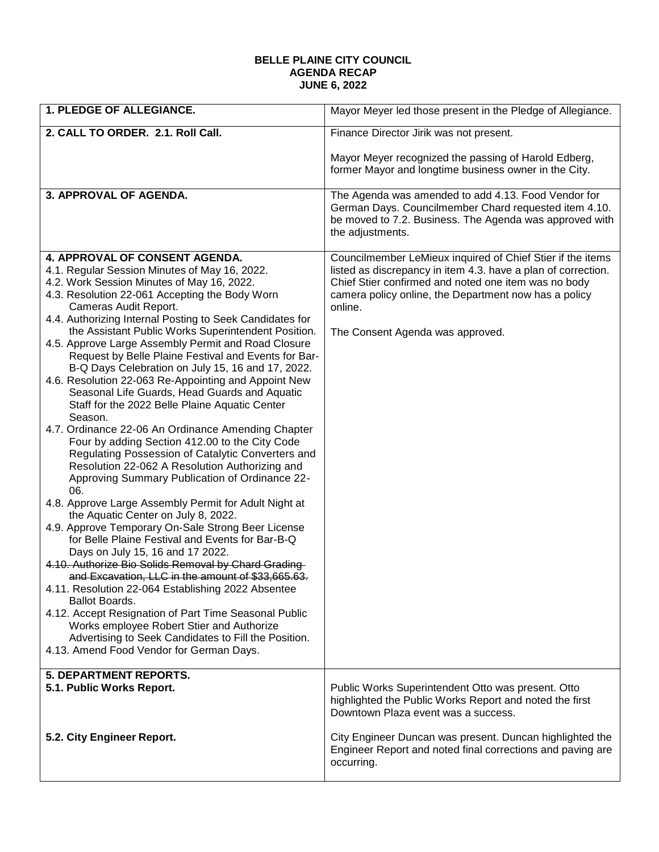## **BELLE PLAINE CITY COUNCIL AGENDA RECAP JUNE 6, 2022**

| 1. PLEDGE OF ALLEGIANCE.                                                                                                                                                                                                                                                                                                                                                                                                                                                                                                                                                                                                                                                                                                                                                                                                                                                                                                                                                                                                                                                                                                                                                                                                                                                                                                                                                                                                                                                                                                                                                                                 | Mayor Meyer led those present in the Pledge of Allegiance.                                                                                                                                                                                                                                  |
|----------------------------------------------------------------------------------------------------------------------------------------------------------------------------------------------------------------------------------------------------------------------------------------------------------------------------------------------------------------------------------------------------------------------------------------------------------------------------------------------------------------------------------------------------------------------------------------------------------------------------------------------------------------------------------------------------------------------------------------------------------------------------------------------------------------------------------------------------------------------------------------------------------------------------------------------------------------------------------------------------------------------------------------------------------------------------------------------------------------------------------------------------------------------------------------------------------------------------------------------------------------------------------------------------------------------------------------------------------------------------------------------------------------------------------------------------------------------------------------------------------------------------------------------------------------------------------------------------------|---------------------------------------------------------------------------------------------------------------------------------------------------------------------------------------------------------------------------------------------------------------------------------------------|
| 2. CALL TO ORDER. 2.1. Roll Call.                                                                                                                                                                                                                                                                                                                                                                                                                                                                                                                                                                                                                                                                                                                                                                                                                                                                                                                                                                                                                                                                                                                                                                                                                                                                                                                                                                                                                                                                                                                                                                        | Finance Director Jirik was not present.                                                                                                                                                                                                                                                     |
|                                                                                                                                                                                                                                                                                                                                                                                                                                                                                                                                                                                                                                                                                                                                                                                                                                                                                                                                                                                                                                                                                                                                                                                                                                                                                                                                                                                                                                                                                                                                                                                                          | Mayor Meyer recognized the passing of Harold Edberg,<br>former Mayor and longtime business owner in the City.                                                                                                                                                                               |
| 3. APPROVAL OF AGENDA.                                                                                                                                                                                                                                                                                                                                                                                                                                                                                                                                                                                                                                                                                                                                                                                                                                                                                                                                                                                                                                                                                                                                                                                                                                                                                                                                                                                                                                                                                                                                                                                   | The Agenda was amended to add 4.13. Food Vendor for<br>German Days. Councilmember Chard requested item 4.10.<br>be moved to 7.2. Business. The Agenda was approved with<br>the adjustments.                                                                                                 |
| <b>4. APPROVAL OF CONSENT AGENDA.</b><br>4.1. Regular Session Minutes of May 16, 2022.<br>4.2. Work Session Minutes of May 16, 2022.<br>4.3. Resolution 22-061 Accepting the Body Worn<br>Cameras Audit Report.<br>4.4. Authorizing Internal Posting to Seek Candidates for<br>the Assistant Public Works Superintendent Position.<br>4.5. Approve Large Assembly Permit and Road Closure<br>Request by Belle Plaine Festival and Events for Bar-<br>B-Q Days Celebration on July 15, 16 and 17, 2022.<br>4.6. Resolution 22-063 Re-Appointing and Appoint New<br>Seasonal Life Guards, Head Guards and Aquatic<br>Staff for the 2022 Belle Plaine Aquatic Center<br>Season.<br>4.7. Ordinance 22-06 An Ordinance Amending Chapter<br>Four by adding Section 412.00 to the City Code<br>Regulating Possession of Catalytic Converters and<br>Resolution 22-062 A Resolution Authorizing and<br>Approving Summary Publication of Ordinance 22-<br>06.<br>4.8. Approve Large Assembly Permit for Adult Night at<br>the Aquatic Center on July 8, 2022.<br>4.9. Approve Temporary On-Sale Strong Beer License<br>for Belle Plaine Festival and Events for Bar-B-Q<br>Days on July 15, 16 and 17 2022.<br>4.10. Authorize Bio Solids Removal by Chard Grading-<br>and Excavation, LLC in the amount of \$33,665.63.<br>4.11. Resolution 22-064 Establishing 2022 Absentee<br><b>Ballot Boards.</b><br>4.12. Accept Resignation of Part Time Seasonal Public<br>Works employee Robert Stier and Authorize<br>Advertising to Seek Candidates to Fill the Position.<br>4.13. Amend Food Vendor for German Days. | Councilmember LeMieux inquired of Chief Stier if the items<br>listed as discrepancy in item 4.3. have a plan of correction.<br>Chief Stier confirmed and noted one item was no body<br>camera policy online, the Department now has a policy<br>online.<br>The Consent Agenda was approved. |
| <b>5. DEPARTMENT REPORTS.</b><br>5.1. Public Works Report.                                                                                                                                                                                                                                                                                                                                                                                                                                                                                                                                                                                                                                                                                                                                                                                                                                                                                                                                                                                                                                                                                                                                                                                                                                                                                                                                                                                                                                                                                                                                               | Public Works Superintendent Otto was present. Otto<br>highlighted the Public Works Report and noted the first<br>Downtown Plaza event was a success.                                                                                                                                        |
| 5.2. City Engineer Report.                                                                                                                                                                                                                                                                                                                                                                                                                                                                                                                                                                                                                                                                                                                                                                                                                                                                                                                                                                                                                                                                                                                                                                                                                                                                                                                                                                                                                                                                                                                                                                               | City Engineer Duncan was present. Duncan highlighted the<br>Engineer Report and noted final corrections and paving are<br>occurring.                                                                                                                                                        |